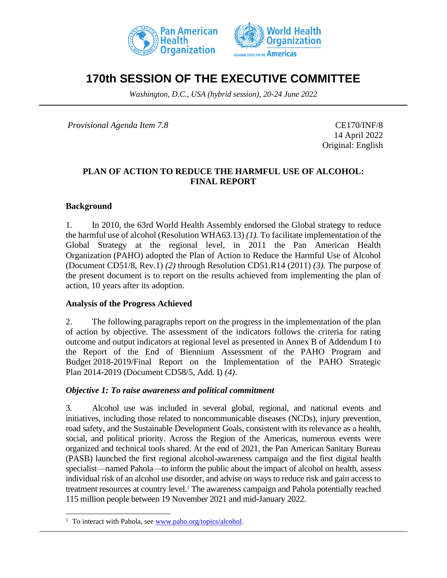



# **170th SESSION OF THE EXECUTIVE COMMITTEE**

*Washington, D.C., USA (hybrid session), 20-24 June 2022*

*Provisional Agenda Item 7.8* CE170/INF/8

14 April 2022 Original: English

#### **PLAN OF ACTION TO REDUCE THE HARMFUL USE OF ALCOHOL: FINAL REPORT**

#### **Background**

1. In 2010, the 63rd World Health Assembly endorsed the Global strategy to reduce the harmful use of alcohol (Resolution WHA63.13) *(1).* To facilitate implementation of the Global Strategy at the regional level, in 2011 the Pan American Health Organization (PAHO) adopted the Plan of Action to Reduce the Harmful Use of Alcohol (Document CD51/8, Rev.1) *(2)* through Resolution CD51.R14 (2011) *(3).* The purpose of the present document is to report on the results achieved from implementing the plan of action, 10 years after its adoption.

### **Analysis of the Progress Achieved**

2. The following paragraphs report on the progress in the implementation of the plan of action by objective. The assessment of the indicators follows the criteria for rating outcome and output indicators at regional level as presented in Annex B of Addendum I to the Report of the End of Biennium Assessment of the PAHO Program and Budget 2018-2019/Final Report on the Implementation of the PAHO Strategic Plan 2014-2019 (Document CD58/5, Add. I) *(4)*.

#### *Objective 1: To raise awareness and political commitment*

3. Alcohol use was included in several global, regional, and national events and initiatives, including those related to noncommunicable diseases (NCDs), injury prevention, road safety, and the Sustainable Development Goals, consistent with its relevance as a health, social, and political priority. Across the Region of the Americas, numerous events were organized and technical tools shared. At the end of 2021, the Pan American Sanitary Bureau (PASB) launched the first regional alcohol-awareness campaign and the first digital health specialist—named Pahola—to inform the public about the impact of alcohol on health, assess individual risk of an alcohol use disorder, and advise on ways to reduce risk and gain access to treatment resources at country level.<sup>1</sup> The awareness campaign and Pahola potentially reached 115 million people between 19 November 2021 and mid-January 2022.

<sup>&</sup>lt;sup>1</sup> To interact with Pahola, see [www.paho.org/topics/alcohol](http://www.paho.org/topics/alcohol).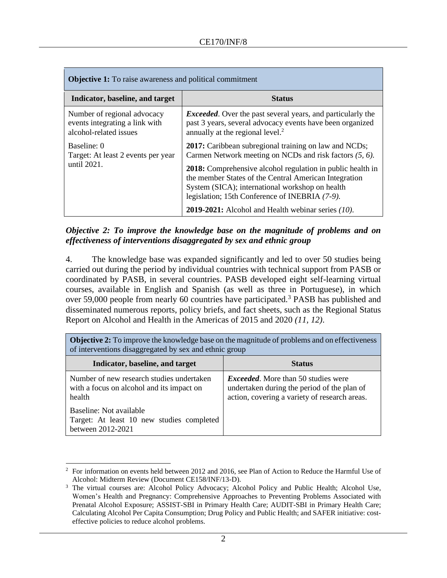| <b>Objective 1:</b> To raise awareness and political commitment                         |                                                                                                                                                                                                                                 |  |
|-----------------------------------------------------------------------------------------|---------------------------------------------------------------------------------------------------------------------------------------------------------------------------------------------------------------------------------|--|
| Indicator, baseline, and target                                                         | Status                                                                                                                                                                                                                          |  |
| Number of regional advocacy<br>events integrating a link with<br>alcohol-related issues | <i>Exceeded.</i> Over the past several years, and particularly the<br>past 3 years, several advocacy events have been organized<br>annually at the regional level. <sup>2</sup>                                                 |  |
| Baseline: 0<br>Target: At least 2 events per year                                       | <b>2017:</b> Caribbean subregional training on law and NCDs;<br>Carmen Network meeting on NCDs and risk factors (5, 6).                                                                                                         |  |
| until 2021.                                                                             | <b>2018:</b> Comprehensive alcohol regulation in public health in<br>the member States of the Central American Integration<br>System (SICA); international workshop on health<br>legislation; 15th Conference of INEBRIA (7-9). |  |
|                                                                                         | <b>2019-2021:</b> Alcohol and Health webinar series $(10)$ .                                                                                                                                                                    |  |

## *Objective 2: To improve the knowledge base on the magnitude of problems and on effectiveness of interventions disaggregated by sex and ethnic group*

4. The knowledge base was expanded significantly and led to over 50 studies being carried out during the period by individual countries with technical support from PASB or coordinated by PASB, in several countries. PASB developed eight self-learning virtual courses, available in English and Spanish (as well as three in Portuguese), in which over 59,000 people from nearly 60 countries have participated.<sup>3</sup> PASB has published and disseminated numerous reports, policy briefs, and fact sheets, such as the Regional Status Report on Alcohol and Health in the Americas of 2015 and 2020 *(11, 12)*.

| of interventions disaggregated by sex and ethnic group                                           |                                                                                                                                            |  |
|--------------------------------------------------------------------------------------------------|--------------------------------------------------------------------------------------------------------------------------------------------|--|
| Indicator, baseline, and target                                                                  | <b>Status</b>                                                                                                                              |  |
| Number of new research studies undertaken<br>with a focus on alcohol and its impact on<br>health | <i>Exceeded.</i> More than 50 studies were<br>undertaken during the period of the plan of<br>action, covering a variety of research areas. |  |
| Baseline: Not available<br>Target: At least 10 new studies completed<br>between 2012-2021        |                                                                                                                                            |  |

**Objective 2:** To improve the knowledge base on the magnitude of problems and on effectiveness of interventions disaggregated by sex and ethnic group

 $2\degree$  For information on events held between 2012 and 2016, see Plan of Action to Reduce the Harmful Use of Alcohol: Midterm Review (Document CE158/INF/13-D).

<sup>&</sup>lt;sup>3</sup> The virtual courses are: Alcohol Policy Advocacy; Alcohol Policy and Public Health; Alcohol Use, Women's Health and Pregnancy: Comprehensive Approaches to Preventing Problems Associated with Prenatal Alcohol Exposure; ASSIST-SBI in Primary Health Care; AUDIT-SBI in Primary Health Care; Calculating Alcohol Per Capita Consumption; Drug Policy and Public Health; and SAFER initiative: costeffective policies to reduce alcohol problems.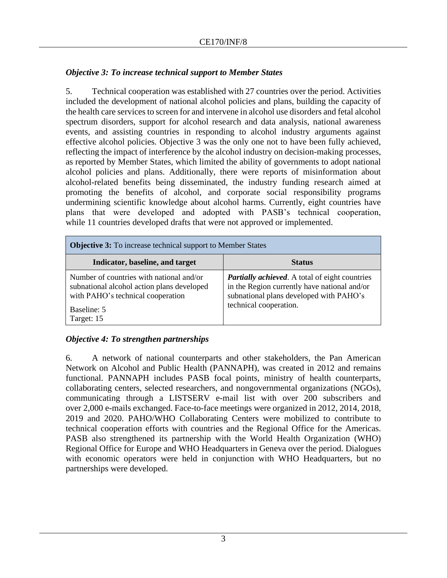# *Objective 3: To increase technical support to Member States*

5. Technical cooperation was established with 27 countries over the period. Activities included the development of national alcohol policies and plans, building the capacity of the health care services to screen for and intervene in alcohol use disorders and fetal alcohol spectrum disorders, support for alcohol research and data analysis, national awareness events, and assisting countries in responding to alcohol industry arguments against effective alcohol policies*.* Objective 3 was the only one not to have been fully achieved, reflecting the impact of interference by the alcohol industry on decision-making processes, as reported by Member States, which limited the ability of governments to adopt national alcohol policies and plans. Additionally, there were reports of misinformation about alcohol-related benefits being disseminated, the industry funding research aimed at promoting the benefits of alcohol, and corporate social responsibility programs undermining scientific knowledge about alcohol harms. Currently, eight countries have plans that were developed and adopted with PASB's technical cooperation, while 11 countries developed drafts that were not approved or implemented.

| <b>Objective 3:</b> To increase technical support to Member States                                                                                       |                                                                                                                                                                            |  |  |  |
|----------------------------------------------------------------------------------------------------------------------------------------------------------|----------------------------------------------------------------------------------------------------------------------------------------------------------------------------|--|--|--|
| Indicator, baseline, and target                                                                                                                          | <b>Status</b>                                                                                                                                                              |  |  |  |
| Number of countries with national and/or<br>subnational alcohol action plans developed<br>with PAHO's technical cooperation<br>Baseline: 5<br>Target: 15 | <b>Partially achieved.</b> A total of eight countries<br>in the Region currently have national and/or<br>subnational plans developed with PAHO's<br>technical cooperation. |  |  |  |

## *Objective 4: To strengthen partnerships*

6. A network of national counterparts and other stakeholders, the Pan American Network on Alcohol and Public Health (PANNAPH), was created in 2012 and remains functional. PANNAPH includes PASB focal points, ministry of health counterparts, collaborating centers, selected researchers, and nongovernmental organizations (NGOs), communicating through a LISTSERV e-mail list with over 200 subscribers and over 2,000 e-mails exchanged. Face-to-face meetings were organized in 2012, 2014, 2018, 2019 and 2020. PAHO/WHO Collaborating Centers were mobilized to contribute to technical cooperation efforts with countries and the Regional Office for the Americas. PASB also strengthened its partnership with the World Health Organization (WHO) Regional Office for Europe and WHO Headquarters in Geneva over the period. Dialogues with economic operators were held in conjunction with WHO Headquarters, but no partnerships were developed.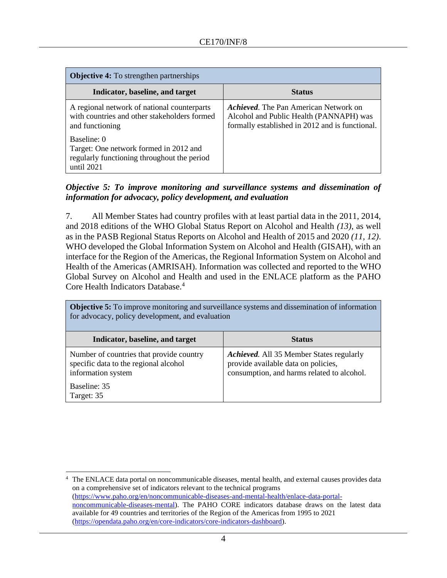| <b>Objective 4:</b> To strengthen partnerships                                                                       |                                                                                                                                            |  |  |
|----------------------------------------------------------------------------------------------------------------------|--------------------------------------------------------------------------------------------------------------------------------------------|--|--|
| Indicator, baseline, and target                                                                                      | <b>Status</b>                                                                                                                              |  |  |
| A regional network of national counterparts<br>with countries and other stakeholders formed<br>and functioning       | <b>Achieved.</b> The Pan American Network on<br>Alcohol and Public Health (PANNAPH) was<br>formally established in 2012 and is functional. |  |  |
| Baseline: 0<br>Target: One network formed in 2012 and<br>regularly functioning throughout the period<br>until $2021$ |                                                                                                                                            |  |  |

### *Objective 5: To improve monitoring and surveillance systems and dissemination of information for advocacy, policy development, and evaluation*

7. All Member States had country profiles with at least partial data in the 2011, 2014, and 2018 editions of the WHO Global Status Report on Alcohol and Health *(13)*, as well as in the PASB Regional Status Reports on Alcohol and Health of 2015 and 2020 *(11, 12)*. WHO developed the Global Information System on Alcohol and Health (GISAH), with an interface for the Region of the Americas, the Regional Information System on Alcohol and Health of the Americas (AMRISAH). Information was collected and reported to the WHO Global Survey on Alcohol and Health and used in the ENLACE platform as the PAHO Core Health Indicators Database.<sup>4</sup>

**Objective 5:** To improve monitoring and surveillance systems and dissemination of information for advocacy, policy development, and evaluation

| Indicator, baseline, and target                                                                         | <b>Status</b>                                                                                                                 |
|---------------------------------------------------------------------------------------------------------|-------------------------------------------------------------------------------------------------------------------------------|
| Number of countries that provide country<br>specific data to the regional alcohol<br>information system | Achieved. All 35 Member States regularly<br>provide available data on policies,<br>consumption, and harms related to alcohol. |
| Baseline: 35<br>Target: 35                                                                              |                                                                                                                               |

<sup>4</sup> The ENLACE data portal on noncommunicable diseases, mental health, and external causes provides data on a comprehensive set of indicators relevant to the technical programs [\(https://www.paho.org/en/noncommunicable-diseases-and-mental-health/enlace-data-portal](https://www.paho.org/en/noncommunicable-diseases-and-mental-health/enlace-data-portal-noncommunicable-diseases-mental)[noncommunicable-diseases-mental\)](https://www.paho.org/en/noncommunicable-diseases-and-mental-health/enlace-data-portal-noncommunicable-diseases-mental). The PAHO CORE indicators database draws on the latest data available for 49 countries and territories of the Region of the Americas from 1995 to 2021 [\(https://opendata.paho.org/en/core-indicators/core-indicators-dashboard\)](https://opendata.paho.org/en/core-indicators/core-indicators-dashboard).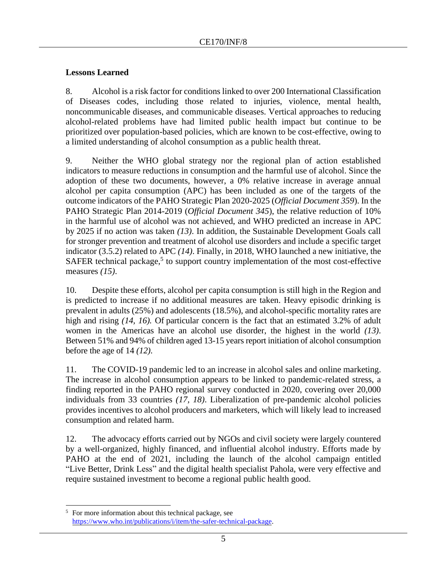# **Lessons Learned**

8. Alcohol is a risk factor for conditions linked to over 200 International Classification of Diseases codes, including those related to injuries, violence, mental health, noncommunicable diseases, and communicable diseases. Vertical approaches to reducing alcohol-related problems have had limited public health impact but continue to be prioritized over population-based policies, which are known to be cost-effective, owing to a limited understanding of alcohol consumption as a public health threat.

9. Neither the WHO global strategy nor the regional plan of action established indicators to measure reductions in consumption and the harmful use of alcohol. Since the adoption of these two documents, however, a 0% relative increase in average annual alcohol per capita consumption (APC) has been included as one of the targets of the outcome indicators of the PAHO Strategic Plan 2020-2025 (*Official Document 359*). In the PAHO Strategic Plan 2014-2019 (*Official Document 345*), the relative reduction of 10% in the harmful use of alcohol was not achieved, and WHO predicted an increase in APC by 2025 if no action was taken *(13)*. In addition, the Sustainable Development Goals call for stronger prevention and treatment of alcohol use disorders and include a specific target indicator (3.5.2) related to APC *(14)*. Finally, in 2018, WHO launched a new initiative, the SAFER technical package,<sup>5</sup> to support country implementation of the most cost-effective measures *(15)*.

10. Despite these efforts, alcohol per capita consumption is still high in the Region and is predicted to increase if no additional measures are taken. Heavy episodic drinking is prevalent in adults (25%) and adolescents (18.5%), and alcohol-specific mortality rates are high and rising (14, 16). Of particular concern is the fact that an estimated 3.2% of adult women in the Americas have an alcohol use disorder, the highest in the world *(13)*. Between 51% and 94% of children aged 13-15 years report initiation of alcohol consumption before the age of 14 *(12).*

11. The COVID-19 pandemic led to an increase in alcohol sales and online marketing. The increase in alcohol consumption appears to be linked to pandemic-related stress, a finding reported in the PAHO regional survey conducted in 2020, covering over 20,000 individuals from 33 countries *(17, 18)*. Liberalization of pre-pandemic alcohol policies provides incentives to alcohol producers and marketers, which will likely lead to increased consumption and related harm.

12. The advocacy efforts carried out by NGOs and civil society were largely countered by a well-organized, highly financed, and influential alcohol industry. Efforts made by PAHO at the end of 2021, including the launch of the alcohol campaign entitled "Live Better, Drink Less" and the digital health specialist Pahola*,* were very effective and require sustained investment to become a regional public health good.

<sup>&</sup>lt;sup>5</sup> For more information about this technical package, see [https://www.who.int/publications/i/item/the-safer-technical-package.](https://www.who.int/publications/i/item/the-safer-technical-package)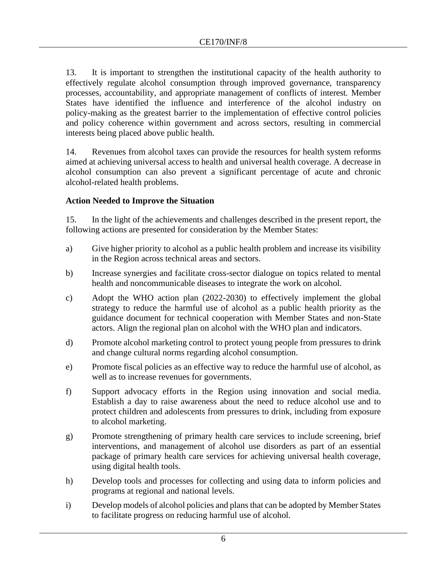13. It is important to strengthen the institutional capacity of the health authority to effectively regulate alcohol consumption through improved governance, transparency processes, accountability, and appropriate management of conflicts of interest*.* Member States have identified the influence and interference of the alcohol industry on policy-making as the greatest barrier to the implementation of effective control policies and policy coherence within government and across sectors, resulting in commercial interests being placed above public health.

14. Revenues from alcohol taxes can provide the resources for health system reforms aimed at achieving universal access to health and universal health coverage. A decrease in alcohol consumption can also prevent a significant percentage of acute and chronic alcohol-related health problems.

## **Action Needed to Improve the Situation**

15. In the light of the achievements and challenges described in the present report, the following actions are presented for consideration by the Member States:

- a) Give higher priority to alcohol as a public health problem and increase its visibility in the Region across technical areas and sectors.
- b) Increase synergies and facilitate cross-sector dialogue on topics related to mental health and noncommunicable diseases to integrate the work on alcohol.
- c) Adopt the WHO action plan (2022-2030) to effectively implement the global strategy to reduce the harmful use of alcohol as a public health priority as the guidance document for technical cooperation with Member States and non-State actors. Align the regional plan on alcohol with the WHO plan and indicators.
- d) Promote alcohol marketing control to protect young people from pressures to drink and change cultural norms regarding alcohol consumption.
- e) Promote fiscal policies as an effective way to reduce the harmful use of alcohol, as well as to increase revenues for governments.
- f) Support advocacy efforts in the Region using innovation and social media. Establish a day to raise awareness about the need to reduce alcohol use and to protect children and adolescents from pressures to drink, including from exposure to alcohol marketing.
- g) Promote strengthening of primary health care services to include screening, brief interventions, and management of alcohol use disorders as part of an essential package of primary health care services for achieving universal health coverage, using digital health tools.
- h) Develop tools and processes for collecting and using data to inform policies and programs at regional and national levels.
- i) Develop models of alcohol policies and plans that can be adopted by Member States to facilitate progress on reducing harmful use of alcohol.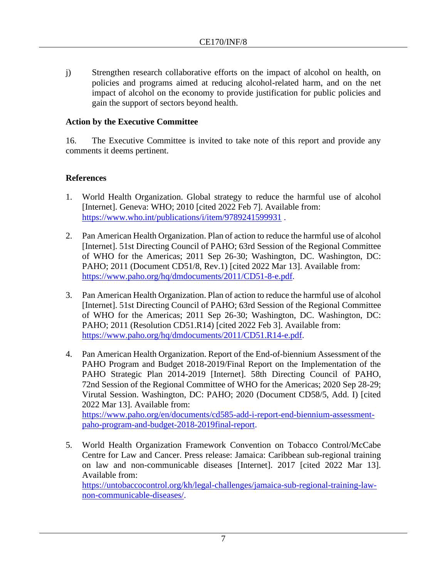j) Strengthen research collaborative efforts on the impact of alcohol on health, on policies and programs aimed at reducing alcohol-related harm, and on the net impact of alcohol on the economy to provide justification for public policies and gain the support of sectors beyond health.

## **Action by the Executive Committee**

16. The Executive Committee is invited to take note of this report and provide any comments it deems pertinent.

## **References**

- 1. World Health Organization. Global strategy to reduce the harmful use of alcohol [Internet]. Geneva: WHO; 2010 [cited 2022 Feb 7]. Available from: <https://www.who.int/publications/i/item/9789241599931>.
- 2. Pan American Health Organization. Plan of action to reduce the harmful use of alcohol [Internet]. 51st Directing Council of PAHO; 63rd Session of the Regional Committee of WHO for the Americas; 2011 Sep 26-30; Washington, DC. Washington, DC: PAHO; 2011 (Document CD51/8, Rev.1) [cited 2022 Mar 13]. Available from: [https://www.paho.org/hq/dmdocuments/2011/CD51-8-e.pdf.](https://www.paho.org/hq/dmdocuments/2011/CD51-8-e.pdf)
- 3. Pan American Health Organization. Plan of action to reduce the harmful use of alcohol [Internet]. 51st Directing Council of PAHO; 63rd Session of the Regional Committee of WHO for the Americas; 2011 Sep 26-30; Washington, DC. Washington, DC: PAHO; 2011 (Resolution CD51.R14) [cited 2022 Feb 3]. Available from: [https://www.paho.org/hq/dmdocuments/2011/CD51.R14-e.pdf.](https://www.paho.org/hq/dmdocuments/2011/CD51.R14-e.pdf)
- 4. Pan American Health Organization. Report of the End-of-biennium Assessment of the PAHO Program and Budget 2018-2019/Final Report on the Implementation of the PAHO Strategic Plan 2014-2019 [Internet]. 58th Directing Council of PAHO, 72nd Session of the Regional Committee of WHO for the Americas; 2020 Sep 28-29; Virutal Session. Washington, DC: PAHO; 2020 (Document CD58/5, Add. I) [cited 2022 Mar 13]. Available from:

[https://www.paho.org/en/documents/cd585-add-i-report-end-biennium-assessment](https://www.paho.org/en/documents/cd585-add-i-report-end-biennium-assessment-paho-program-and-budget-2018-2019final-report)[paho-program-and-budget-2018-2019final-report.](https://www.paho.org/en/documents/cd585-add-i-report-end-biennium-assessment-paho-program-and-budget-2018-2019final-report)

5. World Health Organization Framework Convention on Tobacco Control/McCabe Centre for Law and Cancer. Press release: Jamaica: Caribbean sub-regional training on law and non-communicable diseases [Internet]. 2017 [cited 2022 Mar 13]. Available from: [https://untobaccocontrol.org/kh/legal-challenges/jamaica-sub-regional-training-law](https://untobaccocontrol.org/kh/legal-challenges/jamaica-sub-regional-training-law-non-communicable-diseases/)[non-communicable-diseases/.](https://untobaccocontrol.org/kh/legal-challenges/jamaica-sub-regional-training-law-non-communicable-diseases/)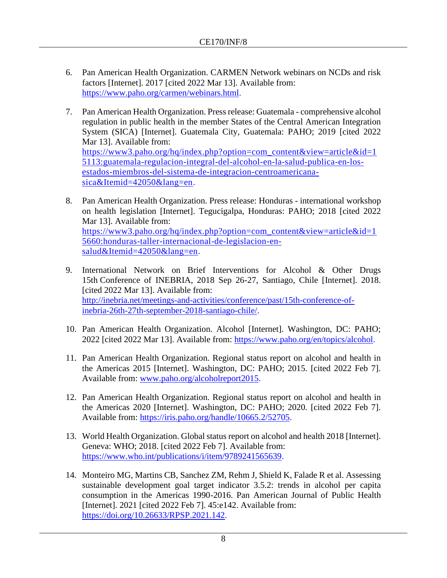- 6. Pan American Health Organization. CARMEN Network webinars on NCDs and risk factors [Internet]. 2017 [cited 2022 Mar 13]. Available from: [https://www.paho.org/carmen/webinars.html.](https://www.paho.org/carmen/webinars.html)
- 7. Pan American Health Organization. Press release: Guatemala comprehensive alcohol regulation in public health in the member States of the Central American Integration System (SICA) [Internet]. Guatemala City, Guatemala: PAHO; 2019 [cited 2022 Mar 13]. Available from: [https://www3.paho.org/hq/index.php?option=com\\_content&view=article&id=1](https://www3.paho.org/hq/index.php?option=com_content&view=article&id=15113:guatemala-regulacion-integral-del-alcohol-en-la-salud-publica-en-los-estados-miembros-del-sistema-de-integracion-centroamericana-sica&Itemid=42050&lang=en) [5113:guatemala-regulacion-integral-del-alcohol-en-la-salud-publica-en-los](https://www3.paho.org/hq/index.php?option=com_content&view=article&id=15113:guatemala-regulacion-integral-del-alcohol-en-la-salud-publica-en-los-estados-miembros-del-sistema-de-integracion-centroamericana-sica&Itemid=42050&lang=en)[estados-miembros-del-sistema-de-integracion-centroamericana](https://www3.paho.org/hq/index.php?option=com_content&view=article&id=15113:guatemala-regulacion-integral-del-alcohol-en-la-salud-publica-en-los-estados-miembros-del-sistema-de-integracion-centroamericana-sica&Itemid=42050&lang=en)[sica&Itemid=42050&lang=en.](https://www3.paho.org/hq/index.php?option=com_content&view=article&id=15113:guatemala-regulacion-integral-del-alcohol-en-la-salud-publica-en-los-estados-miembros-del-sistema-de-integracion-centroamericana-sica&Itemid=42050&lang=en)
- 8. Pan American Health Organization. Press release: Honduras international workshop on health legislation [Internet]. Tegucigalpa, Honduras: PAHO; 2018 [cited 2022 Mar 13]. Available from: [https://www3.paho.org/hq/index.php?option=com\\_content&view=article&id=1](https://www3.paho.org/hq/index.php?option=com_content&view=article&id=15660:honduras-taller-internacional-de-legislacion-en-salud&Itemid=42050&lang=en) [5660:honduras-taller-internacional-de-legislacion-en](https://www3.paho.org/hq/index.php?option=com_content&view=article&id=15660:honduras-taller-internacional-de-legislacion-en-salud&Itemid=42050&lang=en)[salud&Itemid=42050&lang=en.](https://www3.paho.org/hq/index.php?option=com_content&view=article&id=15660:honduras-taller-internacional-de-legislacion-en-salud&Itemid=42050&lang=en)
- 9. International Network on Brief Interventions for Alcohol & Other Drugs 15th Conference of INEBRIA, 2018 Sep 26-27, Santiago, Chile [Internet]. 2018. [cited 2022 Mar 13]. Available from: [http://inebria.net/meetings-and-activities/conference/past/15th-conference-of](http://inebria.net/meetings-and-activities/conference/past/15th-conference-of-inebria-26th-27th-september-2018-santiago-chile/)[inebria-26th-27th-september-2018-santiago-chile/.](http://inebria.net/meetings-and-activities/conference/past/15th-conference-of-inebria-26th-27th-september-2018-santiago-chile/)
- 10. Pan American Health Organization. Alcohol [Internet]. Washington, DC: PAHO; 2022 [cited 2022 Mar 13]. Available from: [https://www.paho.org/en/topics/alcohol.](https://www.paho.org/en/topics/alcohol)
- 11. Pan American Health Organization. Regional status report on alcohol and health in the Americas 2015 [Internet]. Washington, DC: PAHO; 2015. [cited 2022 Feb 7]. Available from: www.paho.org/alcoholreport2015.
- 12. Pan American Health Organization. Regional status report on alcohol and health in the Americas 2020 [Internet]. Washington, DC: PAHO; 2020. [cited 2022 Feb 7]. Available from: [https://iris.paho.org/handle/10665.2/52705.](https://iris.paho.org/handle/10665.2/52705)
- 13. World Health Organization. Global status report on alcohol and health 2018 [Internet]. Geneva: WHO; 2018. [cited 2022 Feb 7]. Available from: [https://www.who.int/publications/i/item/9789241565639.](https://www.who.int/publications/i/item/9789241565639)
- 14. Monteiro MG, Martins CB, Sanchez ZM, Rehm J, Shield K, Falade R et al. Assessing sustainable development goal target indicator 3.5.2: trends in alcohol per capita consumption in the Americas 1990-2016. Pan American Journal of Public Health [Internet]. 2021 [cited 2022 Feb 7]. 45:e142. Available from: [https://doi.org/10.26633/RPSP.2021.142.](https://doi.org/10.26633/RPSP.2021.142)